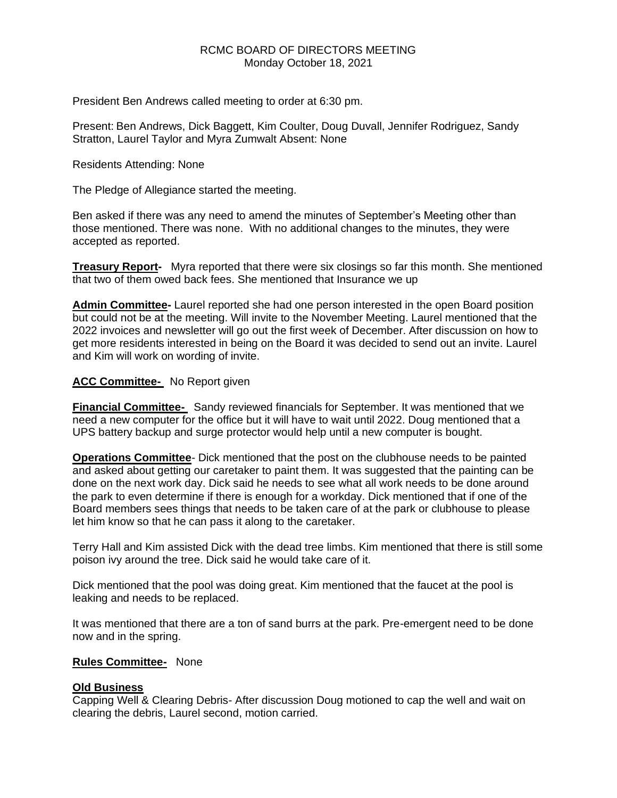### RCMC BOARD OF DIRECTORS MEETING Monday October 18, 2021

President Ben Andrews called meeting to order at 6:30 pm.

Present: Ben Andrews, Dick Baggett, Kim Coulter, Doug Duvall, Jennifer Rodriguez, Sandy Stratton, Laurel Taylor and Myra Zumwalt Absent: None

Residents Attending: None

The Pledge of Allegiance started the meeting.

Ben asked if there was any need to amend the minutes of September's Meeting other than those mentioned. There was none. With no additional changes to the minutes, they were accepted as reported.

**Treasury Report-** Myra reported that there were six closings so far this month. She mentioned that two of them owed back fees. She mentioned that Insurance we up

**Admin Committee-** Laurel reported she had one person interested in the open Board position but could not be at the meeting. Will invite to the November Meeting. Laurel mentioned that the 2022 invoices and newsletter will go out the first week of December. After discussion on how to get more residents interested in being on the Board it was decided to send out an invite. Laurel and Kim will work on wording of invite.

#### **ACC Committee-** No Report given

**Financial Committee-** Sandy reviewed financials for September. It was mentioned that we need a new computer for the office but it will have to wait until 2022. Doug mentioned that a UPS battery backup and surge protector would help until a new computer is bought.

**Operations Committee**- Dick mentioned that the post on the clubhouse needs to be painted and asked about getting our caretaker to paint them. It was suggested that the painting can be done on the next work day. Dick said he needs to see what all work needs to be done around the park to even determine if there is enough for a workday. Dick mentioned that if one of the Board members sees things that needs to be taken care of at the park or clubhouse to please let him know so that he can pass it along to the caretaker.

Terry Hall and Kim assisted Dick with the dead tree limbs. Kim mentioned that there is still some poison ivy around the tree. Dick said he would take care of it.

Dick mentioned that the pool was doing great. Kim mentioned that the faucet at the pool is leaking and needs to be replaced.

It was mentioned that there are a ton of sand burrs at the park. Pre-emergent need to be done now and in the spring.

#### **Rules Committee-** None

#### **Old Business**

Capping Well & Clearing Debris- After discussion Doug motioned to cap the well and wait on clearing the debris, Laurel second, motion carried.